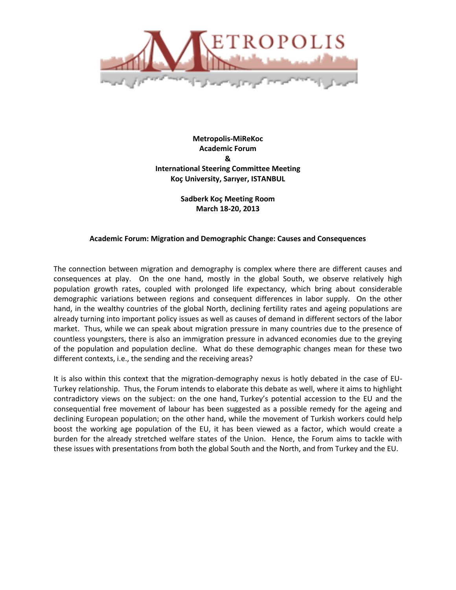

**Metropolis-MiReKoc Academic Forum & International Steering Committee Meeting Koç University, Sarıyer, ISTANBUL**

> **Sadberk Koç Meeting Room March 18-20, 2013**

## **Academic Forum: Migration and Demographic Change: Causes and Consequences**

The connection between migration and demography is complex where there are different causes and consequences at play. On the one hand, mostly in the global South, we observe relatively high population growth rates, coupled with prolonged life expectancy, which bring about considerable demographic variations between regions and consequent differences in labor supply. On the other hand, in the wealthy countries of the global North, declining fertility rates and ageing populations are already turning into important policy issues as well as causes of demand in different sectors of the labor market. Thus, while we can speak about migration pressure in many countries due to the presence of countless youngsters, there is also an immigration pressure in advanced economies due to the greying of the population and population decline. What do these demographic changes mean for these two different contexts, i.e., the sending and the receiving areas?

It is also within this context that the migration-demography nexus is hotly debated in the case of EU-Turkey relationship. Thus, the Forum intends to elaborate this debate as well, where it aims to highlight contradictory views on the subject: on the one hand, Turkey's potential accession to the EU and the consequential free movement of labour has been suggested as a possible remedy for the ageing and declining European population; on the other hand, while the movement of Turkish workers could help boost the working age population of the EU, it has been viewed as a factor, which would create a burden for the already stretched welfare states of the Union. Hence, the Forum aims to tackle with these issues with presentations from both the global South and the North, and from Turkey and the EU.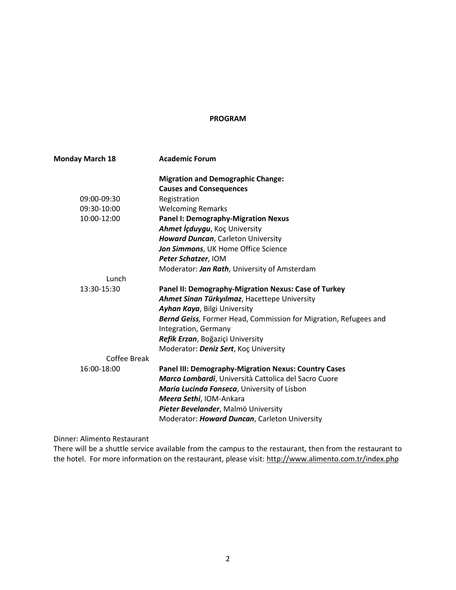#### **PROGRAM**

| <b>Monday March 18</b> | <b>Academic Forum</b>                                                                    |
|------------------------|------------------------------------------------------------------------------------------|
|                        | <b>Migration and Demographic Change:</b>                                                 |
|                        | <b>Causes and Consequences</b>                                                           |
| 09:00-09:30            | Registration                                                                             |
| 09:30-10:00            | <b>Welcoming Remarks</b>                                                                 |
| 10:00-12:00            | <b>Panel I: Demography-Migration Nexus</b>                                               |
|                        | Ahmet İçduygu, Koç University                                                            |
|                        | <b>Howard Duncan, Carleton University</b>                                                |
|                        | Jon Simmons, UK Home Office Science                                                      |
|                        | Peter Schatzer, IOM                                                                      |
|                        | Moderator: Jan Rath, University of Amsterdam                                             |
| Lunch                  |                                                                                          |
| 13:30-15:30            | Panel II: Demography-Migration Nexus: Case of Turkey                                     |
|                        | Ahmet Sinan Türkyılmaz, Hacettepe University                                             |
|                        | Ayhan Kaya, Bilgi University                                                             |
|                        | Bernd Geiss, Former Head, Commission for Migration, Refugees and<br>Integration, Germany |
|                        | Refik Erzan, Boğaziçi University                                                         |
|                        | Moderator: Deniz Sert, Koç University                                                    |
| <b>Coffee Break</b>    |                                                                                          |
| 16:00-18:00            | <b>Panel III: Demography-Migration Nexus: Country Cases</b>                              |
|                        | Marco Lombardi, Università Cattolica del Sacro Cuore                                     |
|                        | Maria Lucinda Fonseca, University of Lisbon                                              |
|                        | Meera Sethi, IOM-Ankara                                                                  |
|                        | Pieter Bevelander, Malmö University                                                      |
|                        | Moderator: Howard Duncan, Carleton University                                            |

Dinner: Alimento Restaurant

There will be a shuttle service available from the campus to the restaurant, then from the restaurant to the hotel. For more information on the restaurant, please visit:<http://www.alimento.com.tr/index.php>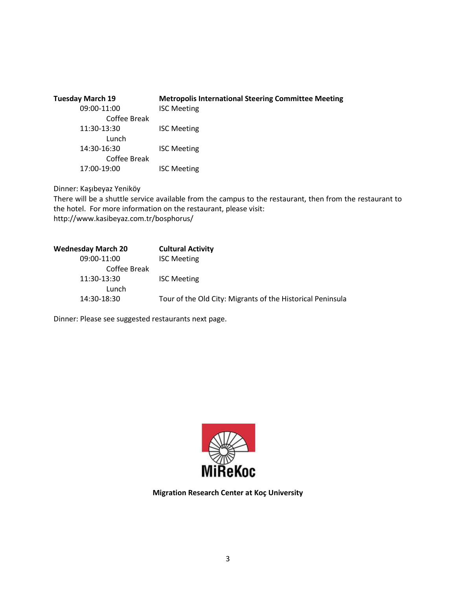| <b>Tuesday March 19</b> | <b>Metropolis International Steering Committee Meeting</b> |
|-------------------------|------------------------------------------------------------|
| 09:00-11:00             | <b>ISC Meeting</b>                                         |
| Coffee Break            |                                                            |
| 11:30-13:30             | <b>ISC Meeting</b>                                         |
| Lunch                   |                                                            |
| 14:30-16:30             | <b>ISC Meeting</b>                                         |
| Coffee Break            |                                                            |
| 17:00-19:00             | <b>ISC Meeting</b>                                         |

Dinner: Kaşıbeyaz Yeniköy

There will be a shuttle service available from the campus to the restaurant, then from the restaurant to the hotel. For more information on the restaurant, please visit: http://www.kasibeyaz.com.tr/bosphorus/

| <b>Wednesday March 20</b> | <b>Cultural Activity</b>                                   |
|---------------------------|------------------------------------------------------------|
| 09:00-11:00               | <b>ISC Meeting</b>                                         |
| Coffee Break              |                                                            |
| 11:30-13:30               | <b>ISC Meeting</b>                                         |
| Lunch                     |                                                            |
| 14:30-18:30               | Tour of the Old City: Migrants of the Historical Peninsula |
|                           |                                                            |

Dinner: Please see suggested restaurants next page.



**Migration Research Center at Koç University**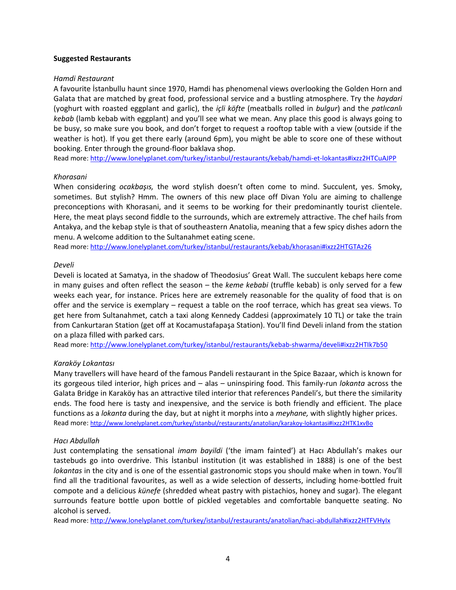#### **Suggested Restaurants**

## *Hamdi Restaurant*

A favourite İstanbullu haunt since 1970, Hamdi has phenomenal views overlooking the Golden Horn and Galata that are matched by great food, professional service and a bustling atmosphere. Try the *haydari*  (yoghurt with roasted eggplant and garlic), the *içli köfte* (meatballs rolled in *bulgur*) and the *patlıcanlı kebab* (lamb kebab with eggplant) and you'll see what we mean. Any place this good is always going to be busy, so make sure you book, and don't forget to request a rooftop table with a view (outside if the weather is hot). If you get there early (around 6pm), you might be able to score one of these without booking. Enter through the ground-floor baklava shop.

Read more[: http://www.lonelyplanet.com/turkey/istanbul/restaurants/kebab/hamdi-et-lokantas#ixzz2HTCuAJPP](http://www.lonelyplanet.com/turkey/istanbul/restaurants/kebab/hamdi-et-lokantas#ixzz2HTCuAJPP)

# *Khorasani*

When considering *ocakbaşıs,* the word stylish doesn't often come to mind. Succulent, yes. Smoky, sometimes. But stylish? Hmm. The owners of this new place off Divan Yolu are aiming to challenge preconceptions with Khorasani, and it seems to be working for their predominantly tourist clientele. Here, the meat plays second fiddle to the surrounds, which are extremely attractive. The chef hails from Antakya, and the kebap style is that of southeastern Anatolia, meaning that a few spicy dishes adorn the menu. A welcome addition to the Sultanahmet eating scene.

Read more[: http://www.lonelyplanet.com/turkey/istanbul/restaurants/kebab/khorasani#ixzz2HTGTAz26](http://www.lonelyplanet.com/turkey/istanbul/restaurants/kebab/khorasani#ixzz2HTGTAz26)

## *Develi*

Develi is located at Samatya, in the shadow of Theodosius' Great Wall. The succulent kebaps here come in many guises and often reflect the season – the *keme kebabi* (truffle kebab) is only served for a few weeks each year, for instance. Prices here are extremely reasonable for the quality of food that is on offer and the service is exemplary – request a table on the roof terrace, which has great sea views. To get here from Sultanahmet, catch a taxi along Kennedy Caddesi (approximately 10 TL) or take the train from Cankurtaran Station (get off at Kocamustafapaşa Station). You'll find Develi inland from the station on a plaza filled with parked cars.

Read more[: http://www.lonelyplanet.com/turkey/istanbul/restaurants/kebab-shwarma/develi#ixzz2HTIk7b50](http://www.lonelyplanet.com/turkey/istanbul/restaurants/kebab-shwarma/develi#ixzz2HTIk7b50)

# *Karaköy Lokantası*

Many travellers will have heard of the famous Pandeli restaurant in the Spice Bazaar, which is known for its gorgeous tiled interior, high prices and – alas – uninspiring food. This family-run *lokanta* across the Galata Bridge in Karaköy has an attractive tiled interior that references Pandeli's, but there the similarity ends. The food here is tasty and inexpensive, and the service is both friendly and efficient. The place functions as a *lokanta* during the day, but at night it morphs into a *meyhane,* with slightly higher prices. Read more: <http://www.lonelyplanet.com/turkey/istanbul/restaurants/anatolian/karakoy-lokantasi#ixzz2HTK1xvBo>

# *Hacı Abdullah*

Just contemplating the sensational *imam bayildi* ('the imam fainted') at Hacı Abdullah's makes our tastebuds go into overdrive. This İstanbul institution (it was established in 1888) is one of the best *lokantas* in the city and is one of the essential gastronomic stops you should make when in town. You'll find all the traditional favourites, as well as a wide selection of desserts, including home-bottled fruit compote and a delicious *künefe* (shredded wheat pastry with pistachios, honey and sugar). The elegant surrounds feature bottle upon bottle of pickled vegetables and comfortable banquette seating. No alcohol is served.

Read more[: http://www.lonelyplanet.com/turkey/istanbul/restaurants/anatolian/haci-abdullah#ixzz2HTFVHyIx](http://www.lonelyplanet.com/turkey/istanbul/restaurants/anatolian/haci-abdullah#ixzz2HTFVHyIx)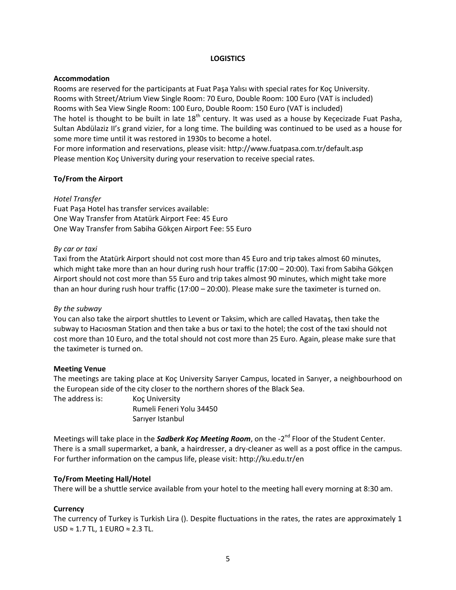# **LOGISTICS**

#### **Accommodation**

Rooms are reserved for the participants at Fuat Paşa Yalısı with special rates for Koç University. Rooms with Street/Atrium View Single Room: 70 Euro, Double Room: 100 Euro (VAT is included) Rooms with Sea View Single Room: 100 Euro, Double Room: 150 Euro (VAT is included) The hotel is thought to be built in late 18<sup>th</sup> century. It was used as a house by Keçecizade Fuat Pasha, Sultan Abdülaziz II's grand vizier, for a long time. The building was continued to be used as a house for some more time until it was restored in 1930s to become a hotel.

For more information and reservations, please visit: http://www.fuatpasa.com.tr/default.asp Please mention Koç University during your reservation to receive special rates.

## **To/From the Airport**

## *Hotel Transfer*

Fuat Paşa Hotel has transfer services available: One Way Transfer from Atatürk Airport Fee: 45 Euro One Way Transfer from Sabiha Gökçen Airport Fee: 55 Euro

## *By car or taxi*

Taxi from the Atatürk Airport should not cost more than 45 Euro and trip takes almost 60 minutes, which might take more than an hour during rush hour traffic (17:00 – 20:00). Taxi from Sabiha Gökçen Airport should not cost more than 55 Euro and trip takes almost 90 minutes, which might take more than an hour during rush hour traffic (17:00 – 20:00). Please make sure the taximeter is turned on.

#### *By the subway*

You can also take the airport shuttles to Levent or Taksim, which are called Havataş, then take the subway to Hacıosman Station and then take a bus or taxi to the hotel; the cost of the taxi should not cost more than 10 Euro, and the total should not cost more than 25 Euro. Again, please make sure that the taximeter is turned on.

#### **Meeting Venue**

The meetings are taking place at Koç University Sarıyer Campus, located in Sarıyer, a neighbourhood on the European side of the city closer to the northern shores of the Black Sea.

The address is: Koç University Rumeli Feneri Yolu 34450 Sarıyer Istanbul

Meetings will take place in the *Sadberk Koç Meeting Room*, on the -2<sup>nd</sup> Floor of the Student Center. There is a small supermarket, a bank, a hairdresser, a dry-cleaner as well as a post office in the campus. For further information on the campus life, please visit: http://ku.edu.tr/en

# **To/From Meeting Hall/Hotel**

There will be a shuttle service available from your hotel to the meeting hall every morning at 8:30 am.

# **Currency**

The currency of Turkey is Turkish Lira (). Despite fluctuations in the rates, the rates are approximately 1 USD ≈ 1.7 TL, 1 EURO ≈ 2.3 TL.